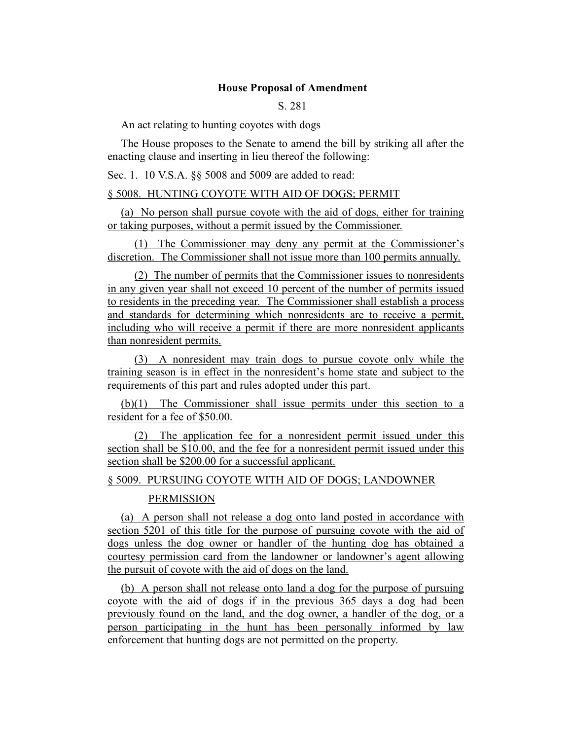### **House Proposal of Amendment**

S. 281

An act relating to hunting coyotes with dogs

The House proposes to the Senate to amend the bill by striking all after the enacting clause and inserting in lieu thereof the following:

Sec. 1. 10 V.S.A. §§ 5008 and 5009 are added to read:

### § 5008. HUNTING COYOTE WITH AID OF DOGS; PERMIT

(a) No person shall pursue coyote with the aid of dogs, either for training or taking purposes, without a permit issued by the Commissioner.

(1) The Commissioner may deny any permit at the Commissioner's discretion. The Commissioner shall not issue more than 100 permits annually.

(2) The number of permits that the Commissioner issues to nonresidents in any given year shall not exceed 10 percent of the number of permits issued to residents in the preceding year. The Commissioner shall establish a process and standards for determining which nonresidents are to receive a permit, including who will receive a permit if there are more nonresident applicants than nonresident permits.

(3) A nonresident may train dogs to pursue coyote only while the training season is in effect in the nonresident's home state and subject to the requirements of this part and rules adopted under this part.

(b)(1) The Commissioner shall issue permits under this section to a resident for a fee of \$50.00.

(2) The application fee for a nonresident permit issued under this section shall be \$10.00, and the fee for a nonresident permit issued under this section shall be \$200.00 for a successful applicant.

§ 5009. PURSUING COYOTE WITH AID OF DOGS; LANDOWNER

### PERMISSION

(a) A person shall not release a dog onto land posted in accordance with section 5201 of this title for the purpose of pursuing coyote with the aid of dogs unless the dog owner or handler of the hunting dog has obtained a courtesy permission card from the landowner or landowner's agent allowing the pursuit of coyote with the aid of dogs on the land.

(b) A person shall not release onto land a dog for the purpose of pursuing coyote with the aid of dogs if in the previous 365 days a dog had been previously found on the land, and the dog owner, a handler of the dog, or a person participating in the hunt has been personally informed by law enforcement that hunting dogs are not permitted on the property.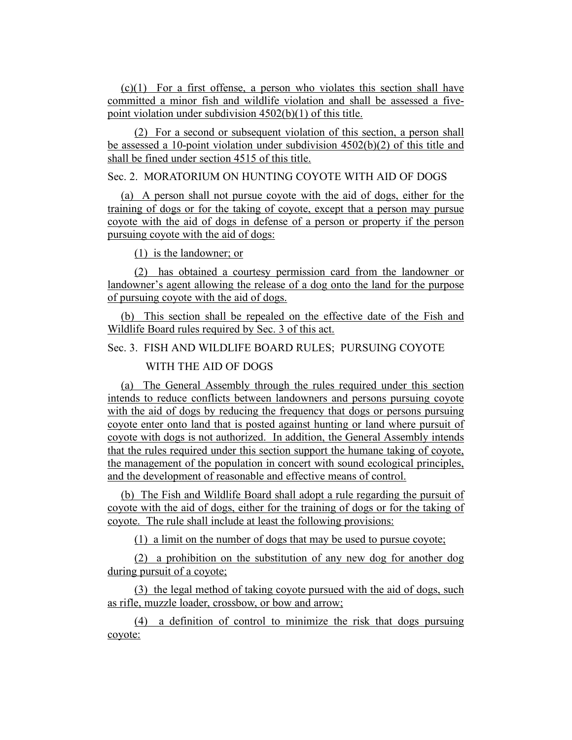(c)(1) For a first offense, a person who violates this section shall have committed a minor fish and wildlife violation and shall be assessed a fivepoint violation under subdivision 4502(b)(1) of this title.

(2) For a second or subsequent violation of this section, a person shall be assessed a 10-point violation under subdivision 4502(b)(2) of this title and shall be fined under section 4515 of this title.

## Sec. 2. MORATORIUM ON HUNTING COYOTE WITH AID OF DOGS

(a) A person shall not pursue coyote with the aid of dogs, either for the training of dogs or for the taking of coyote, except that a person may pursue coyote with the aid of dogs in defense of a person or property if the person pursuing coyote with the aid of dogs:

(1) is the landowner; or

(2) has obtained a courtesy permission card from the landowner or landowner's agent allowing the release of a dog onto the land for the purpose of pursuing coyote with the aid of dogs.

(b) This section shall be repealed on the effective date of the Fish and Wildlife Board rules required by Sec. 3 of this act.

# Sec. 3. FISH AND WILDLIFE BOARD RULES; PURSUING COYOTE

## WITH THE AID OF DOGS

(a) The General Assembly through the rules required under this section intends to reduce conflicts between landowners and persons pursuing coyote with the aid of dogs by reducing the frequency that dogs or persons pursuing coyote enter onto land that is posted against hunting or land where pursuit of coyote with dogs is not authorized. In addition, the General Assembly intends that the rules required under this section support the humane taking of coyote, the management of the population in concert with sound ecological principles, and the development of reasonable and effective means of control.

(b) The Fish and Wildlife Board shall adopt a rule regarding the pursuit of coyote with the aid of dogs, either for the training of dogs or for the taking of coyote. The rule shall include at least the following provisions:

(1) a limit on the number of dogs that may be used to pursue coyote;

(2) a prohibition on the substitution of any new dog for another dog during pursuit of a coyote;

(3) the legal method of taking coyote pursued with the aid of dogs, such as rifle, muzzle loader, crossbow, or bow and arrow;

(4) a definition of control to minimize the risk that dogs pursuing coyote: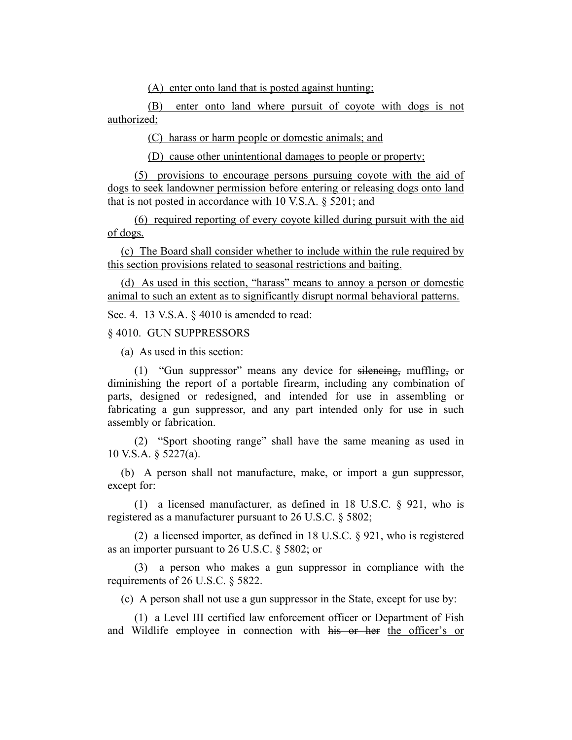(A) enter onto land that is posted against hunting;

(B) enter onto land where pursuit of coyote with dogs is not authorized;

(C) harass or harm people or domestic animals; and

(D) cause other unintentional damages to people or property;

(5) provisions to encourage persons pursuing coyote with the aid of dogs to seek landowner permission before entering or releasing dogs onto land that is not posted in accordance with 10 V.S.A. § 5201; and

(6) required reporting of every coyote killed during pursuit with the aid of dogs.

(c) The Board shall consider whether to include within the rule required by this section provisions related to seasonal restrictions and baiting.

(d) As used in this section, "harass" means to annoy a person or domestic animal to such an extent as to significantly disrupt normal behavioral patterns.

Sec. 4. 13 V.S.A. § 4010 is amended to read:

§ 4010. GUN SUPPRESSORS

(a) As used in this section:

(1) "Gun suppressor" means any device for silencing, muffling, or diminishing the report of a portable firearm, including any combination of parts, designed or redesigned, and intended for use in assembling or fabricating a gun suppressor, and any part intended only for use in such assembly or fabrication.

(2) "Sport shooting range" shall have the same meaning as used in 10 V.S.A. § 5227(a).

(b) A person shall not manufacture, make, or import a gun suppressor, except for:

(1) a licensed manufacturer, as defined in 18 U.S.C. § 921, who is registered as a manufacturer pursuant to 26 U.S.C. § 5802;

(2) a licensed importer, as defined in 18 U.S.C. § 921, who is registered as an importer pursuant to 26 U.S.C. § 5802; or

(3) a person who makes a gun suppressor in compliance with the requirements of 26 U.S.C. § 5822.

(c) A person shall not use a gun suppressor in the State, except for use by:

(1) a Level III certified law enforcement officer or Department of Fish and Wildlife employee in connection with his or her the officer's or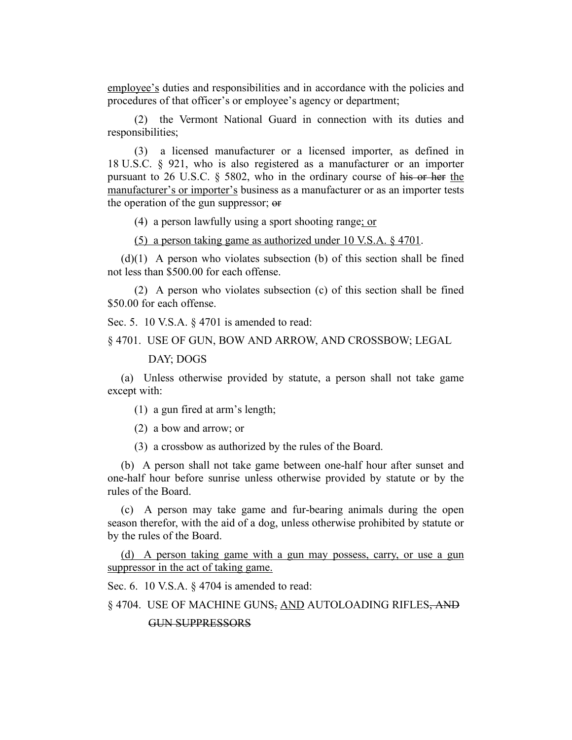employee's duties and responsibilities and in accordance with the policies and procedures of that officer's or employee's agency or department;

(2) the Vermont National Guard in connection with its duties and responsibilities;

(3) a licensed manufacturer or a licensed importer, as defined in 18 U.S.C. § 921, who is also registered as a manufacturer or an importer pursuant to 26 U.S.C. § 5802, who in the ordinary course of his or her the manufacturer's or importer's business as a manufacturer or as an importer tests the operation of the gun suppressor; or

(4) a person lawfully using a sport shooting range; or

(5) a person taking game as authorized under 10 V.S.A. § 4701.

 $(d)(1)$  A person who violates subsection (b) of this section shall be fined not less than \$500.00 for each offense.

(2) A person who violates subsection (c) of this section shall be fined \$50.00 for each offense.

Sec. 5. 10 V.S.A. § 4701 is amended to read:

§ 4701. USE OF GUN, BOW AND ARROW, AND CROSSBOW; LEGAL

#### DAY; DOGS

(a) Unless otherwise provided by statute, a person shall not take game except with:

(1) a gun fired at arm's length;

(2) a bow and arrow; or

(3) a crossbow as authorized by the rules of the Board.

(b) A person shall not take game between one-half hour after sunset and one-half hour before sunrise unless otherwise provided by statute or by the rules of the Board.

(c) A person may take game and fur-bearing animals during the open season therefor, with the aid of a dog, unless otherwise prohibited by statute or by the rules of the Board.

(d) A person taking game with a gun may possess, carry, or use a gun suppressor in the act of taking game.

Sec. 6. 10 V.S.A. § 4704 is amended to read:

§ 4704. USE OF MACHINE GUNS, AND AUTOLOADING RIFLES, AND

GUN SUPPRESSORS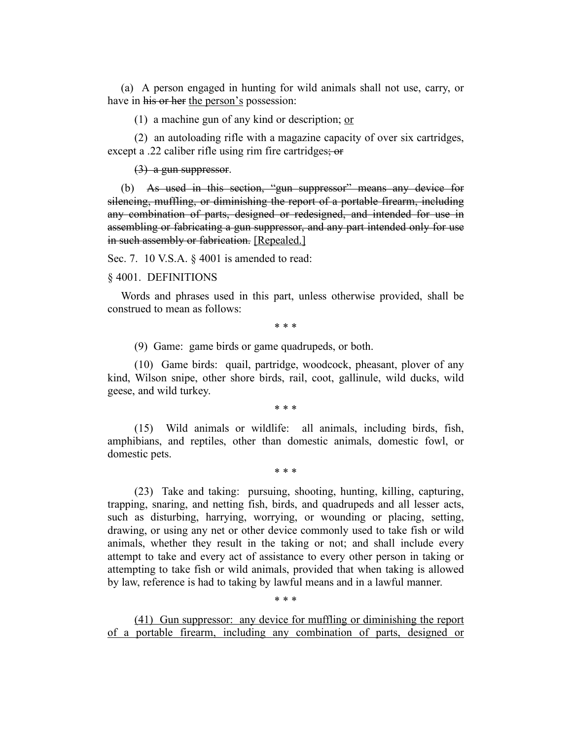(a) A person engaged in hunting for wild animals shall not use, carry, or have in his or her the person's possession:

(1) a machine gun of any kind or description; or

(2) an autoloading rifle with a magazine capacity of over six cartridges, except a .22 caliber rifle using rim fire cartridges; or

(3) a gun suppressor.

(b) As used in this section, "gun suppressor" means any device for silencing, muffling, or diminishing the report of a portable firearm, including any combination of parts, designed or redesigned, and intended for use in assembling or fabricating a gun suppressor, and any part intended only for use in such assembly or fabrication. [Repealed.]

Sec. 7. 10 V.S.A. § 4001 is amended to read:

#### § 4001. DEFINITIONS

Words and phrases used in this part, unless otherwise provided, shall be construed to mean as follows:

\* \* \*

(9) Game: game birds or game quadrupeds, or both.

(10) Game birds: quail, partridge, woodcock, pheasant, plover of any kind, Wilson snipe, other shore birds, rail, coot, gallinule, wild ducks, wild geese, and wild turkey.

\* \* \*

(15) Wild animals or wildlife: all animals, including birds, fish, amphibians, and reptiles, other than domestic animals, domestic fowl, or domestic pets.

\* \* \*

(23) Take and taking: pursuing, shooting, hunting, killing, capturing, trapping, snaring, and netting fish, birds, and quadrupeds and all lesser acts, such as disturbing, harrying, worrying, or wounding or placing, setting, drawing, or using any net or other device commonly used to take fish or wild animals, whether they result in the taking or not; and shall include every attempt to take and every act of assistance to every other person in taking or attempting to take fish or wild animals, provided that when taking is allowed by law, reference is had to taking by lawful means and in a lawful manner.

\* \* \*

(41) Gun suppressor: any device for muffling or diminishing the report of a portable firearm, including any combination of parts, designed or